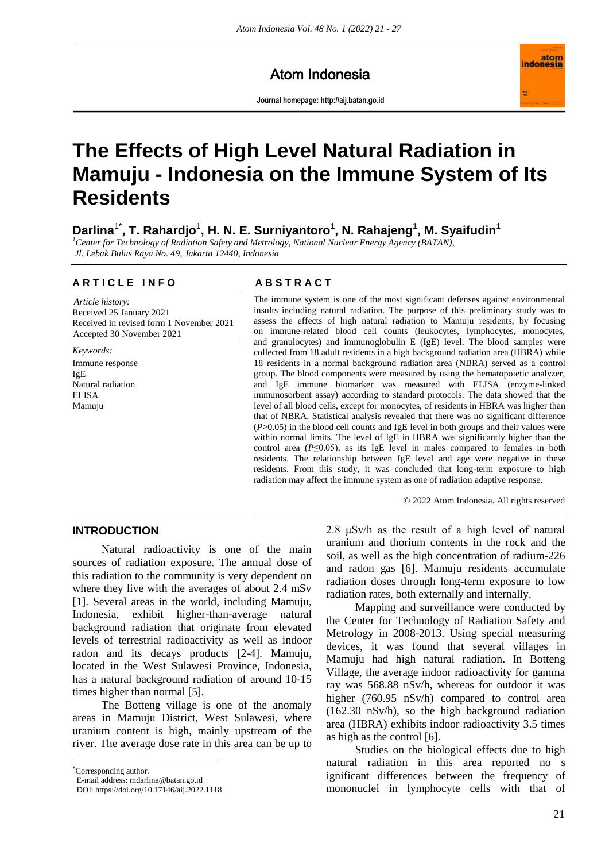Atom Indonesia

**Journal homepage[: http://aij.batan.go.id](http://aij.batan.go.id/)**



# **The Effects of High Level Natural Radiation in Mamuju - Indonesia on the Immune System of Its Residents**

## Darlina<sup>1\*</sup>, T. Rahardjo<sup>1</sup>, H. N. E. Surniyantoro<sup>1</sup>, N. Rahajeng<sup>1</sup>, M. Syaifudin<sup>1</sup>

*<sup>1</sup>Center for Technology of Radiation Safety and Metrology, National Nuclear Energy Agency (BATAN), Jl. Lebak Bulus Raya No. 49, Jakarta 12440, Indonesia*

#### **A R T I C L E I N F O A B S T R A C T**

*Article history:* Received 25 January 2021 Received in revised form 1 November 2021 Accepted 30 November 2021

*Keywords:* Immune response IgE Natural radiation **ELISA** Mamuju

The immune system is one of the most significant defenses against environmental insults including natural radiation. The purpose of this preliminary study was to assess the effects of high natural radiation to Mamuju residents, by focusing on immune-related blood cell counts (leukocytes, lymphocytes, monocytes, and granulocytes) and immunoglobulin E (IgE) level. The blood samples were collected from 18 adult residents in a high background radiation area (HBRA) while 18 residents in a normal background radiation area (NBRA) served as a control group. The blood components were measured by using the hematopoietic analyzer, and IgE immune biomarker was measured with ELISA (enzyme-linked immunosorbent assay) according to standard protocols. The data showed that the level of all blood cells, except for monocytes, of residents in HBRA was higher than that of NBRA. Statistical analysis revealed that there was no significant difference (*P*>0.05) in the blood cell counts and IgE level in both groups and their values were within normal limits. The level of IgE in HBRA was significantly higher than the control area  $(P \le 0.05)$ , as its IgE level in males compared to females in both residents. The relationship between IgE level and age were negative in these residents. From this study, it was concluded that long-term exposure to high radiation may affect the immune system as one of radiation adaptive response.

© 2022 Atom Indonesia. All rights reserved

#### **INTRODUCTION**

Natural radioactivity is one of the main sources of radiation exposure. The annual dose of this radiation to the community is very dependent on where they live with the averages of about 2.4 mSv [1]. Several areas in the world, including Mamuju, Indonesia, exhibit higher-than-average natural background radiation that originate from elevated levels of terrestrial radioactivity as well as indoor radon and its decays products [2-4]. Mamuju, located in the West Sulawesi Province, Indonesia, has a natural background radiation of around 10-15 times higher than normal [5].

The Botteng village is one of the anomaly areas in Mamuju District, West Sulawesi, where uranium content is high, mainly upstream of the river. The average dose rate in this area can be up to

Corresponding author.

 $\overline{a}$ 

E-mail address: mdarlina@batan.go.id

2.8 μSv/h as the result of a high level of natural uranium and thorium contents in the rock and the soil, as well as the high concentration of radium-226 and radon gas [6]. Mamuju residents accumulate radiation doses through long-term exposure to low radiation rates, both externally and internally.

Mapping and surveillance were conducted by the Center for Technology of Radiation Safety and Metrology in 2008-2013. Using special measuring devices, it was found that several villages in Mamuju had high natural radiation. In Botteng Village, the average indoor radioactivity for gamma ray was 568.88 nSv/h, whereas for outdoor it was higher (760.95 nSv/h) compared to control area (162.30 nSv/h), so the high background radiation area (HBRA) exhibits indoor radioactivity 3.5 times as high as the control [6].

Studies on the biological effects due to high natural radiation in this area reported no s ignificant differences between the frequency of mononuclei in lymphocyte cells with that of

DOI: https://doi.org/10.17146/aij.2022.1118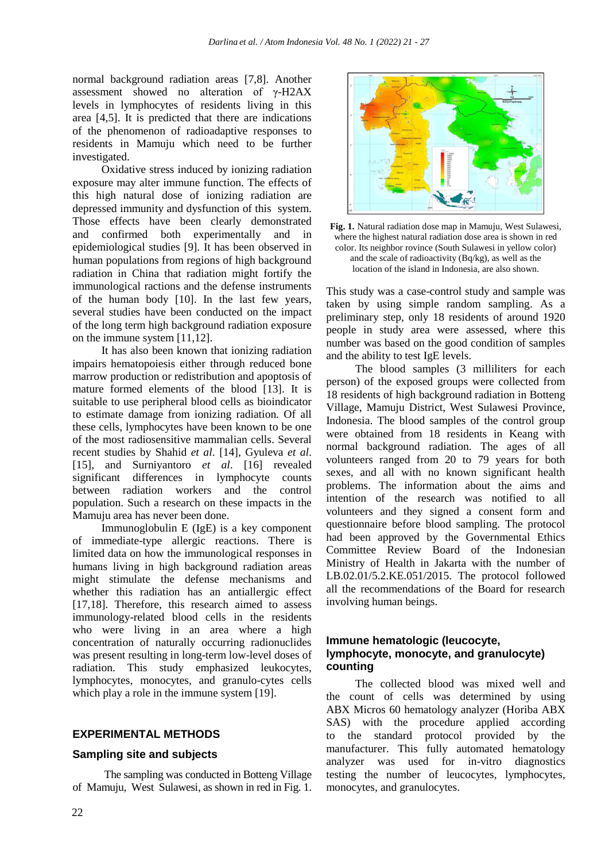normal background radiation areas [7,8]. Another assessment showed no alteration of γ-H2AX levels in lymphocytes of residents living in this area [4,5]. It is predicted that there are indications of the phenomenon of radioadaptive responses to residents in Mamuju which need to be further investigated.

Oxidative stress induced by ionizing radiation exposure may alter immune function. The effects of this high natural dose of ionizing radiation are depressed immunity and dysfunction of this system. Those effects have been clearly demonstrated and confirmed both experimentally and in epidemiological studies [9]. It has been observed in human populations from regions of high background radiation in China that radiation might fortify the immunological ractions and the defense instruments of the human body [10]. In the last few years, several studies have been conducted on the impact of the long term high background radiation exposure on the immune system [11,12].

It has also been known that ionizing radiation impairs hematopoiesis either through reduced bone marrow production or redistribution and apoptosis of mature formed elements of the blood [13]. It is suitable to use peripheral blood cells as bioindicator to estimate damage from ionizing radiation. Of all these cells, lymphocytes have been known to be one of the most radiosensitive mammalian cells. Several recent studies by Shahid *et al*. [14], Gyuleva *et al*. [15], and Surniyantoro *et al*. [16] revealed significant differences in lymphocyte counts between radiation workers and the control population. Such a research on these impacts in the Mamuju area has never been done.

Immunoglobulin E (IgE) is a key component of immediate-type allergic reactions. There is limited data on how the immunological responses in humans living in high background radiation areas might stimulate the defense mechanisms and whether this radiation has an antiallergic effect [17,18]. Therefore, this research aimed to assess immunology-related blood cells in the residents who were living in an area where a high concentration of naturally occurring radionuclides was present resulting in long-term low-level doses of radiation. This study emphasized leukocytes, lymphocytes, monocytes, and granulo-cytes cells which play a role in the immune system [19].

### **EXPERIMENTAL METHODS**

#### **Sampling site and subjects**

The sampling was conducted in Botteng Village of Mamuju, West Sulawesi, as shown in red in Fig. 1.



**Fig. 1.** Natural radiation dose map in Mamuju, West Sulawesi, where the highest natural radiation dose area is shown in red color. Its neighbor rovince (South Sulawesi in yellow color) and the scale of radioactivity (Bq/kg), as well as the location of the island in Indonesia, are also shown.

This study was a case-control study and sample was taken by using simple random sampling. As a preliminary step, only 18 residents of around 1920 people in study area were assessed, where this number was based on the good condition of samples and the ability to test IgE levels.

The blood samples (3 milliliters for each person) of the exposed groups were collected from 18 residents of high background radiation in Botteng Village, Mamuju District, West Sulawesi Province, Indonesia. The blood samples of the control group were obtained from 18 residents in Keang with normal background radiation. The ages of all volunteers ranged from 20 to 79 years for both sexes, and all with no known significant health problems. The information about the aims and intention of the research was notified to all volunteers and they signed a consent form and questionnaire before blood sampling. The protocol had been approved by the Governmental Ethics Committee Review Board of the Indonesian Ministry of Health in Jakarta with the number of LB.02.01/5.2.KE.051/2015. The protocol followed all the recommendations of the Board for research involving human beings.

#### **Immune hematologic (leucocyte, lymphocyte, monocyte, and granulocyte) counting**

The collected blood was mixed well and the count of cells was determined by using ABX Micros 60 hematology analyzer (Horiba ABX SAS) with the procedure applied according to the standard protocol provided by the manufacturer. This fully automated hematology analyzer was used for in-vitro diagnostics testing the number of leucocytes, lymphocytes, monocytes, and granulocytes.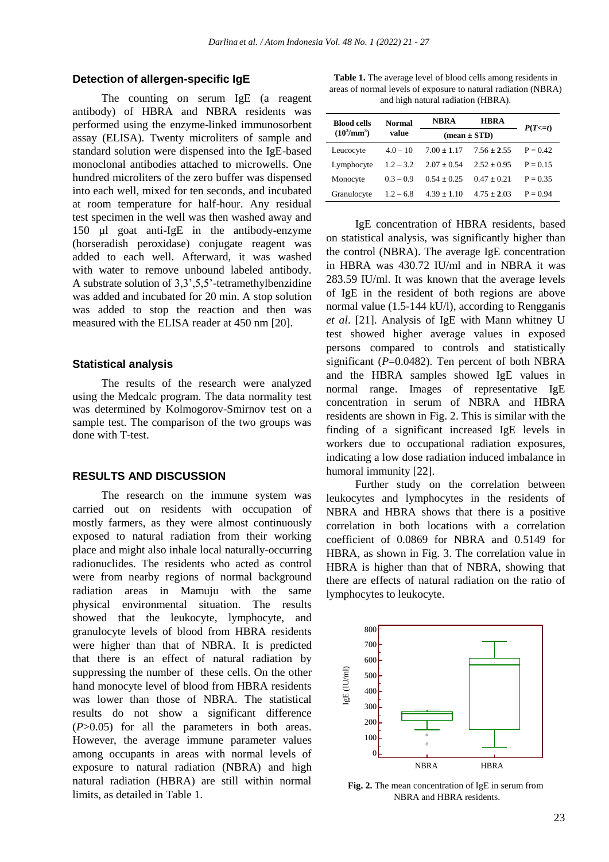#### **Detection of allergen-specific IgE**

The counting on serum IgE (a reagent antibody) of HBRA and NBRA residents was performed using the enzyme-linked immunosorbent assay (ELISA). Twenty microliters of sample and standard solution were dispensed into the IgE-based monoclonal antibodies attached to microwells. One hundred microliters of the zero buffer was dispensed into each well, mixed for ten seconds, and incubated at room temperature for half-hour. Any residual test specimen in the well was then washed away and 150 µl goat anti-IgE in the antibody-enzyme (horseradish peroxidase) conjugate reagent was added to each well. Afterward, it was washed with water to remove unbound labeled antibody. A substrate solution of 3,3',5,5'-tetramethylbenzidine was added and incubated for 20 min. A stop solution was added to stop the reaction and then was measured with the ELISA reader at 450 nm [20].

#### **Statistical analysis**

The results of the research were analyzed using the Medcalc program. The data normality test was determined by Kolmogorov-Smirnov test on a sample test. The comparison of the two groups was done with T-test.

#### **RESULTS AND DISCUSSION**

The research on the immune system was carried out on residents with occupation of mostly farmers, as they were almost continuously exposed to natural radiation from their working place and might also inhale local naturally-occurring radionuclides. The residents who acted as control were from nearby regions of normal background radiation areas in Mamuju with the same physical environmental situation. The results showed that the leukocyte, lymphocyte, and granulocyte levels of blood from HBRA residents were higher than that of NBRA. It is predicted that there is an effect of natural radiation by suppressing the number of these cells. On the other hand monocyte level of blood from HBRA residents was lower than those of NBRA. The statistical results do not show a significant difference (*P*>0.05) for all the parameters in both areas. However, the average immune parameter values among occupants in areas with normal levels of exposure to natural radiation (NBRA) and high natural radiation (HBRA) are still within normal limits, as detailed in Table 1.

**Table 1.** The average level of blood cells among residents in areas of normal levels of exposure to natural radiation (NBRA) and high natural radiation (HBRA).

| <b>Blood cells</b><br>$(10^3/\text{mm}^3)$ | <b>Normal</b><br>value | <b>NBRA</b>     | HBRA            | $P(T \leq t)$ |
|--------------------------------------------|------------------------|-----------------|-----------------|---------------|
|                                            |                        | $mean \pm STD$  |                 |               |
| Leucocyte                                  | $4.0 - 10$             | $7.00 \pm 1.17$ | $7.56 \pm 2.55$ | $P = 0.42$    |
| Lymphocyte                                 | $1.2 - 3.2$            | $2.07 \pm 0.54$ | $2.52 \pm 0.95$ | $P = 0.15$    |
| Monocyte                                   | $0.3 - 0.9$            | $0.54 \pm 0.25$ | $0.47 \pm 0.21$ | $P = 0.35$    |
| Granulocyte                                | $1.2 - 6.8$            | $4.39 \pm 1.10$ | $4.75 \pm 2.03$ | $P = 0.94$    |

IgE concentration of HBRA residents, based on statistical analysis, was significantly higher than the control (NBRA). The average IgE concentration in HBRA was 430.72 IU/ml and in NBRA it was 283.59 IU/ml. It was known that the average levels of IgE in the resident of both regions are above normal value (1.5-144 kU/l), according to Rengganis *et al*. [21]. Analysis of IgE with Mann whitney U test showed higher average values in exposed persons compared to controls and statistically significant  $(P=0.0482)$ . Ten percent of both NBRA and the HBRA samples showed IgE values in normal range. Images of representative IgE concentration in serum of NBRA and HBRA residents are shown in Fig. 2. This is similar with the finding of a significant increased IgE levels in workers due to occupational radiation exposures, indicating a low dose radiation induced imbalance in humoral immunity [22].

Further study on the correlation between leukocytes and lymphocytes in the residents of NBRA and HBRA shows that there is a positive correlation in both locations with a correlation coefficient of 0.0869 for NBRA and 0.5149 for HBRA, as shown in Fig. 3. The correlation value in HBRA is higher than that of NBRA, showing that there are effects of natural radiation on the ratio of lymphocytes to leukocyte.



**Fig. 2.** The mean concentration of IgE in serum from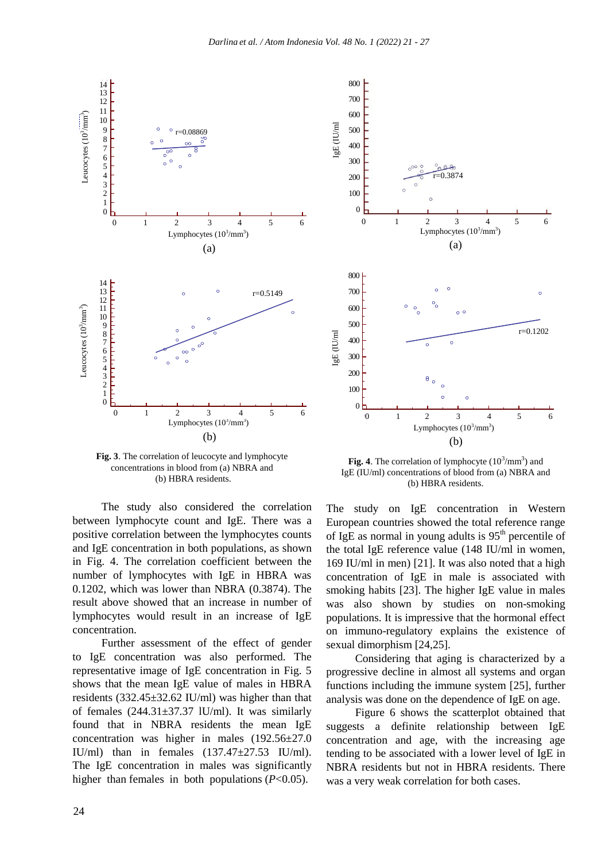

**Fig. 3**. The correlation of leucocyte and lymphocyte concentrations in blood from (a) NBRA and (b) HBRA residents.

The study also considered the correlation between lymphocyte count and IgE. There was a positive correlation between the lymphocytes counts and IgE concentration in both populations, as shown in Fig. 4. The correlation coefficient between the number of lymphocytes with IgE in HBRA was 0.1202, which was lower than NBRA (0.3874). The result above showed that an increase in number of lymphocytes would result in an increase of IgE concentration.

Further assessment of the effect of gender to IgE concentration was also performed. The representative image of IgE concentration in Fig. 5 shows that the mean IgE value of males in HBRA residents (332.45±32.62 IU/ml) was higher than that of females  $(244.31\pm37.37 \text{ IU/ml})$ . It was similarly found that in NBRA residents the mean IgE concentration was higher in males (192.56±27.0 IU/ml) than in females (137.47±27.53 IU/ml). The IgE concentration in males was significantly higher than females in both populations (*P*<0.05).



**Fig. 4.** The correlation of lymphocyte  $(10^3/\text{mm}^3)$  and IgE (IU/ml) concentrations of blood from (a) NBRA and (b) HBRA residents.

The study on IgE concentration in Western European countries showed the total reference range of IgE as normal in young adults is  $95<sup>th</sup>$  percentile of the total IgE reference value (148 IU/ml in women, 169 IU/ml in men) [21]. It was also noted that a high concentration of IgE in male is associated with smoking habits [23]. The higher IgE value in males was also shown by studies on non-smoking populations. It is impressive that the hormonal effect on immuno-regulatory explains the existence of sexual dimorphism [24,25].

Considering that aging is characterized by a progressive decline in almost all systems and organ functions including the immune system [25], further analysis was done on the dependence of IgE on age.

Figure 6 shows the scatterplot obtained that suggests a definite relationship between IgE concentration and age, with the increasing age tending to be associated with a lower level of IgE in NBRA residents but not in HBRA residents. There was a very weak correlation for both cases.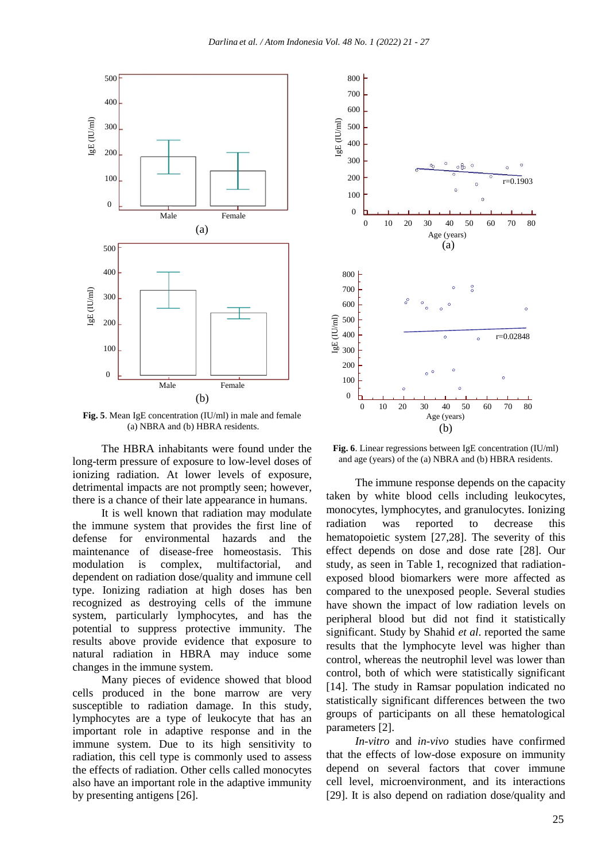



**Fig. 5**. Mean IgE concentration (IU/ml) in male and female (a) NBRA and (b) HBRA residents.

The HBRA inhabitants were found under the long-term pressure of exposure to low-level doses of ionizing radiation. At lower levels of exposure, detrimental impacts are not promptly seen; however, there is a chance of their late appearance in humans.

It is well known that radiation may modulate the immune system that provides the first line of defense for environmental hazards and the maintenance of disease-free homeostasis. This modulation is complex, multifactorial, and dependent on radiation dose/quality and immune cell type. Ionizing radiation at high doses has ben recognized as destroying cells of the immune system, particularly lymphocytes, and has the potential to suppress protective immunity. The results above provide evidence that exposure to natural radiation in HBRA may induce some changes in the immune system.

Many pieces of evidence showed that blood cells produced in the bone marrow are very susceptible to radiation damage. In this study, lymphocytes are a type of leukocyte that has an important role in adaptive response and in the immune system. Due to its high sensitivity to radiation, this cell type is commonly used to assess the effects of radiation. Other cells called monocytes also have an important role in the adaptive immunity by presenting antigens [26].



**Fig. 6**. Linear regressions between IgE concentration (IU/ml) and age (years) of the (a) NBRA and (b) HBRA residents.

The immune response depends on the capacity taken by white blood cells including leukocytes, monocytes, lymphocytes, and granulocytes. Ionizing radiation was reported to decrease this hematopoietic system [27,28]. The severity of this effect depends on dose and dose rate [28]. Our study, as seen in Table 1, recognized that radiationexposed blood biomarkers were more affected as compared to the unexposed people. Several studies have shown the impact of low radiation levels on peripheral blood but did not find it statistically significant. Study by Shahid *et al*. reported the same results that the lymphocyte level was higher than control, whereas the neutrophil level was lower than control, both of which were statistically significant [14]. The study in Ramsar population indicated no statistically significant differences between the two groups of participants on all these hematological parameters [2].

*In-vitro* and *in-vivo* studies have confirmed that the effects of low-dose exposure on immunity depend on several factors that cover immune cell level, microenvironment, and its interactions [29]. It is also depend on radiation dose/quality and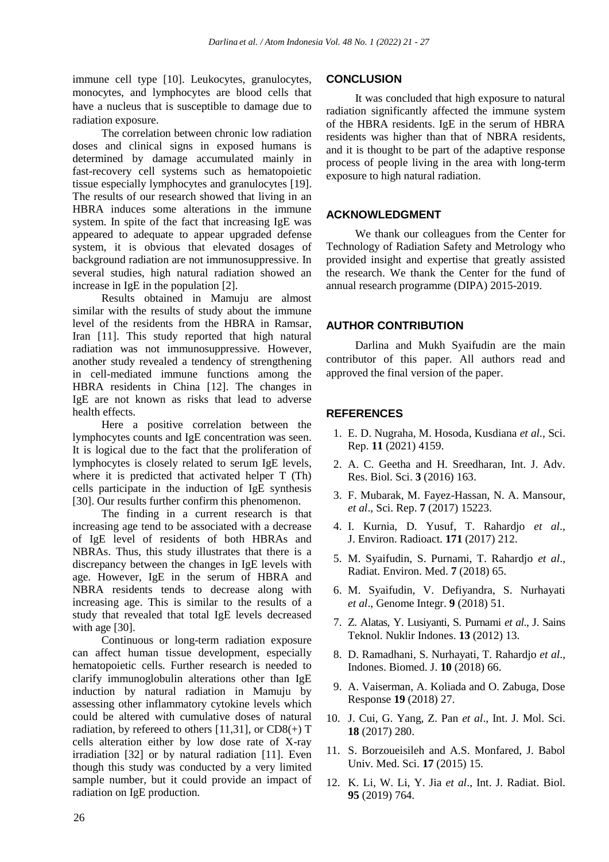immune cell type [10]. Leukocytes, granulocytes, monocytes, and lymphocytes are blood cells that have a nucleus that is susceptible to damage due to radiation exposure.

The correlation between chronic low radiation doses and clinical signs in exposed humans is determined by damage accumulated mainly in fast-recovery cell systems such as hematopoietic tissue especially lymphocytes and granulocytes [19]. The results of our research showed that living in an HBRA induces some alterations in the immune system. In spite of the fact that increasing IgE was appeared to adequate to appear upgraded defense system, it is obvious that elevated dosages of background radiation are not immunosuppressive. In several studies, high natural radiation showed an increase in IgE in the population [2].

Results obtained in Mamuju are almost similar with the results of study about the immune level of the residents from the HBRA in Ramsar, Iran [11]. This study reported that high natural radiation was not immunosuppressive. However, another study revealed a tendency of strengthening in cell-mediated immune functions among the HBRA residents in China [12]. The changes in IgE are not known as risks that lead to adverse health effects.

Here a positive correlation between the lymphocytes counts and IgE concentration was seen. It is logical due to the fact that the proliferation of lymphocytes is closely related to serum IgE levels, where it is predicted that activated helper T (Th) cells participate in the induction of IgE synthesis [30]. Our results further confirm this phenomenon.

The finding in a current research is that increasing age tend to be associated with a decrease of IgE level of residents of both HBRAs and NBRAs. Thus, this study illustrates that there is a discrepancy between the changes in IgE levels with age. However, IgE in the serum of HBRA and NBRA residents tends to decrease along with increasing age. This is similar to the results of a study that revealed that total IgE levels decreased with age [30].

Continuous or long-term radiation exposure can affect human tissue development, especially hematopoietic cells. Further research is needed to clarify immunoglobulin alterations other than IgE induction by natural radiation in Mamuju by assessing other inflammatory cytokine levels which could be altered with cumulative doses of natural radiation, by refereed to others [11,31], or  $CD8(+)$  T cells alteration either by low dose rate of X-ray irradiation [32] or by natural radiation [11]. Even though this study was conducted by a very limited sample number, but it could provide an impact of radiation on IgE production.

#### **CONCLUSION**

It was concluded that high exposure to natural radiation significantly affected the immune system of the HBRA residents. IgE in the serum of HBRA residents was higher than that of NBRA residents, and it is thought to be part of the adaptive response process of people living in the area with long-term exposure to high natural radiation.

#### **ACKNOWLEDGMENT**

We thank our colleagues from the Center for Technology of Radiation Safety and Metrology who provided insight and expertise that greatly assisted the research. We thank the Center for the fund of annual research programme (DIPA) 2015-2019.

### **AUTHOR CONTRIBUTION**

Darlina and Mukh Syaifudin are the main contributor of this paper. All authors read and approved the final version of the paper.

### **REFERENCES**

- 1. E. D. Nugraha, M. Hosoda, Kusdiana *et al.,* Sci. Rep. **11** (2021) 4159.
- 2. A. C. Geetha and H. Sreedharan, Int. J. Adv. Res. Biol. Sci. **3** (2016) 163.
- 3. F. Mubarak, M. Fayez-Hassan, N. A. Mansour, *et al*., Sci. Rep. **7** (2017) 15223.
- 4. I. Kurnia, D. Yusuf, T. Rahardjo *et al*., J. Environ. Radioact. **171** (2017) 212.
- 5. M. Syaifudin, S. Purnami, T. Rahardjo *et al*., Radiat. Environ. Med. **7** (2018) 65.
- 6. M. Syaifudin, V. Defiyandra, S. Nurhayati *et al*., Genome Integr. **9** (2018) 51.
- 7. Z. Alatas, Y. Lusiyanti, S. Purnami *et al*., J. Sains Teknol. Nuklir Indones. **13** (2012) 13.
- 8. D. Ramadhani, S. Nurhayati, T. Rahardjo *et al*., Indones. Biomed. J. **10** (2018) 66.
- 9. A. Vaiserman, A. Koliada and O. Zabuga, Dose Response **19** (2018) 27.
- 10. J. Cui, G. Yang, Z. Pan *et al*., Int. J. Mol. Sci. **18** (2017) 280.
- 11. S. Borzoueisileh and A.S. Monfared, J. Babol Univ. Med. Sci. **17** (2015) 15.
- 12. K. Li, W. Li, Y. Jia *et al*., Int. J. Radiat. Biol. **95** (2019) 764.